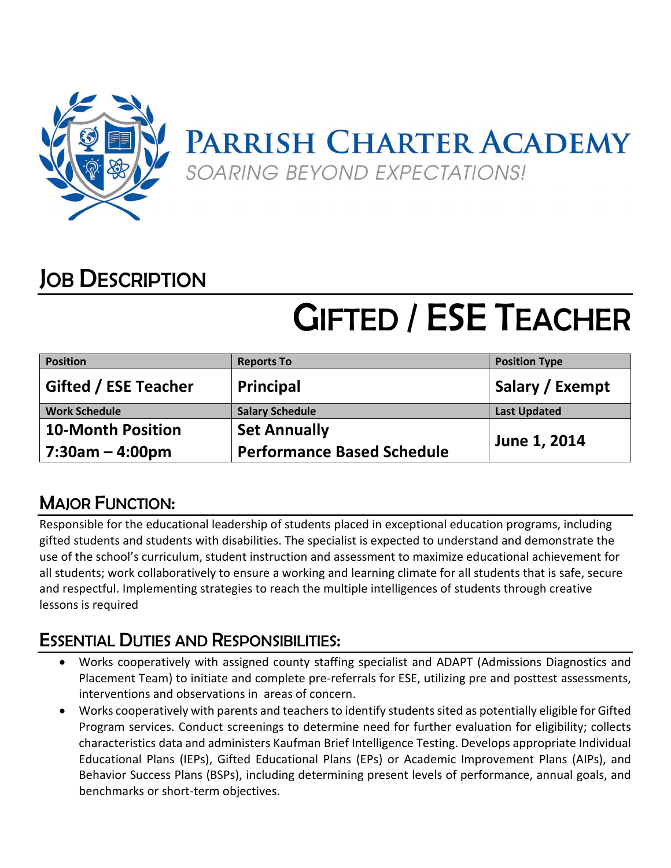

## JOB DESCRIPTION

# GIFTED / ESE TEACHER

| <b>Position</b>             | <b>Reports To</b>                 | <b>Position Type</b> |
|-----------------------------|-----------------------------------|----------------------|
| <b>Gifted / ESE Teacher</b> | <b>Principal</b>                  | Salary / Exempt      |
| <b>Work Schedule</b>        | <b>Salary Schedule</b>            | <b>Last Updated</b>  |
| <b>10-Month Position</b>    | <b>Set Annually</b>               | June 1, 2014         |
| $7:30$ am – 4:00pm          | <b>Performance Based Schedule</b> |                      |

### MAJOR FUNCTION:

Responsible for the educational leadership of students placed in exceptional education programs, including gifted students and students with disabilities. The specialist is expected to understand and demonstrate the use of the school's curriculum, student instruction and assessment to maximize educational achievement for all students; work collaboratively to ensure a working and learning climate for all students that is safe, secure and respectful. Implementing strategies to reach the multiple intelligences of students through creative lessons is required

#### ESSENTIAL DUTIES AND RESPONSIBILITIES:

- Works cooperatively with assigned county staffing specialist and ADAPT (Admissions Diagnostics and Placement Team) to initiate and complete pre-referrals for ESE, utilizing pre and posttest assessments, interventions and observations in areas of concern.
- Works cooperatively with parents and teachers to identify students sited as potentially eligible for Gifted Program services. Conduct screenings to determine need for further evaluation for eligibility; collects characteristics data and administers Kaufman Brief Intelligence Testing. Develops appropriate Individual Educational Plans (IEPs), Gifted Educational Plans (EPs) or Academic Improvement Plans (AIPs), and Behavior Success Plans (BSPs), including determining present levels of performance, annual goals, and benchmarks or short-term objectives.